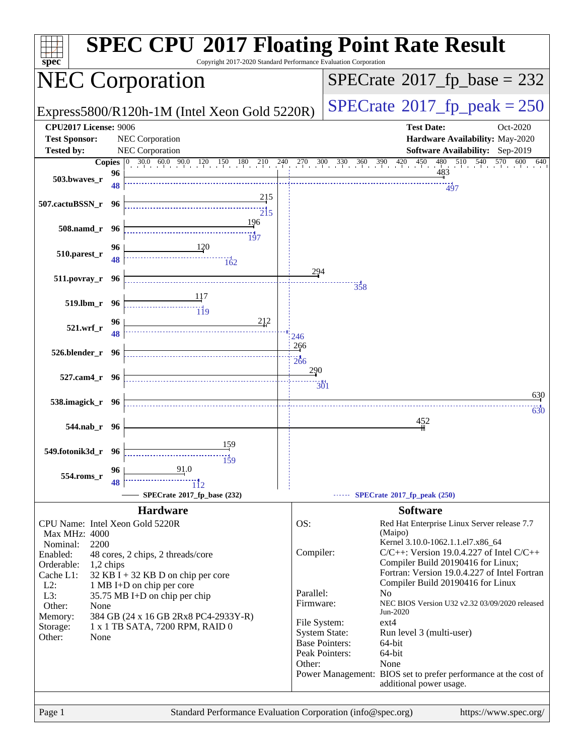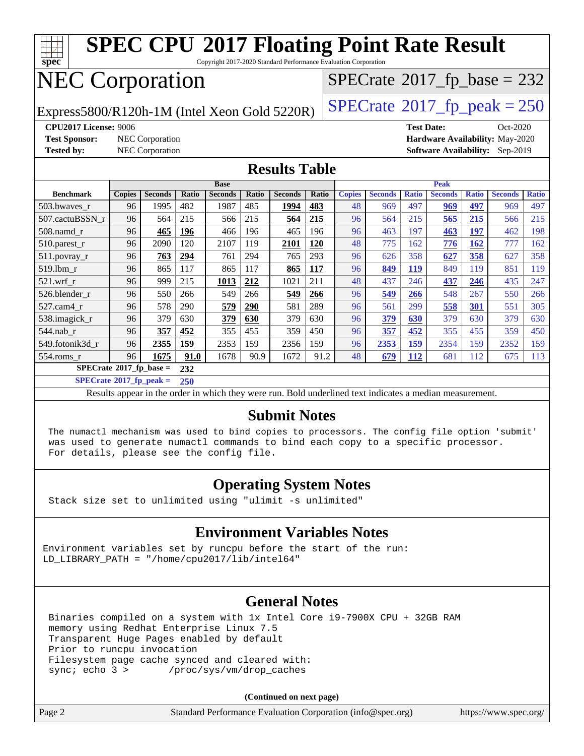

Copyright 2017-2020 Standard Performance Evaluation Corporation

# NEC Corporation

Express5800/R120h-1M (Intel Xeon Gold 5220R)  $\left|$  [SPECrate](http://www.spec.org/auto/cpu2017/Docs/result-fields.html#SPECrate2017fppeak)®[2017\\_fp\\_peak = 2](http://www.spec.org/auto/cpu2017/Docs/result-fields.html#SPECrate2017fppeak)50

 $SPECTate$ <sup>®</sup>[2017\\_fp\\_base =](http://www.spec.org/auto/cpu2017/Docs/result-fields.html#SPECrate2017fpbase) 232

**[CPU2017 License:](http://www.spec.org/auto/cpu2017/Docs/result-fields.html#CPU2017License)** 9006 **[Test Date:](http://www.spec.org/auto/cpu2017/Docs/result-fields.html#TestDate)** Oct-2020 **[Test Sponsor:](http://www.spec.org/auto/cpu2017/Docs/result-fields.html#TestSponsor)** NEC Corporation **[Hardware Availability:](http://www.spec.org/auto/cpu2017/Docs/result-fields.html#HardwareAvailability)** May-2020 **[Tested by:](http://www.spec.org/auto/cpu2017/Docs/result-fields.html#Testedby)** NEC Corporation **[Software Availability:](http://www.spec.org/auto/cpu2017/Docs/result-fields.html#SoftwareAvailability)** Sep-2019

#### **[Results Table](http://www.spec.org/auto/cpu2017/Docs/result-fields.html#ResultsTable)**

|                                  | <b>Base</b>   |                |            |                |       |                | <b>Peak</b> |               |                |              |                |              |                |              |
|----------------------------------|---------------|----------------|------------|----------------|-------|----------------|-------------|---------------|----------------|--------------|----------------|--------------|----------------|--------------|
| <b>Benchmark</b>                 | <b>Copies</b> | <b>Seconds</b> | Ratio      | <b>Seconds</b> | Ratio | <b>Seconds</b> | Ratio       | <b>Copies</b> | <b>Seconds</b> | <b>Ratio</b> | <b>Seconds</b> | <b>Ratio</b> | <b>Seconds</b> | <b>Ratio</b> |
| 503.bwayes_r                     | 96            | 1995           | 482        | 1987           | 485   | 1994           | 483         | 48            | 969            | 497          | 969            | 497          | 969            | 497          |
| 507.cactuBSSN r                  | 96            | 564            | 215        | 566            | 215   | 564            | 215         | 96            | 564            | 215          | 565            | 215          | 566            | 215          |
| $508$ .namd $r$                  | 96            | 465            | <u>196</u> | 466            | 196   | 465            | 196         | 96            | 463            | 197          | 463            | 197          | 462            | 198          |
| $510.parest_r$                   | 96            | 2090           | 120        | 2107           | 119   | 2101           | 120         | 48            | 775            | 162          | 776            | 162          | 777            | 162          |
| 511.povray_r                     | 96            | 763            | 294        | 761            | 294   | 765            | 293         | 96            | 626            | 358          | 627            | 358          | 627            | 358          |
| 519.lbm r                        | 96            | 865            | 117        | 865            | 117   | 865            | 117         | 96            | 849            | 119          | 849            | 119          | 851            | 119          |
| $521$ .wrf r                     | 96            | 999            | 215        | 1013           | 212   | 1021           | 211         | 48            | 437            | 246          | 437            | 246          | 435            | 247          |
| 526.blender r                    | 96            | 550            | 266        | 549            | 266   | 549            | 266         | 96            | 549            | <b>266</b>   | 548            | 267          | 550            | 266          |
| $527$ .cam $4$ r                 | 96            | 578            | 290        | 579            | 290   | 581            | 289         | 96            | 561            | 299          | 558            | 301          | 551            | 305          |
| 538.imagick_r                    | 96            | 379            | 630        | 379            | 630   | 379            | 630         | 96            | 379            | 630          | 379            | 630          | 379            | 630          |
| $544$ .nab r                     | 96            | 357            | 452        | 355            | 455   | 359            | 450         | 96            | 357            | 452          | 355            | 455          | 359            | 450          |
| 549.fotonik3d r                  | 96            | 2355           | 159        | 2353           | 159   | 2356           | 159         | 96            | 2353           | 159          | 2354           | 159          | 2352           | 159          |
| $554$ .roms r                    | 96            | 1675           | 91.0       | 1678           | 90.9  | 1672           | 91.2        | 48            | 679            | 112          | 681            | 112          | 675            | 113          |
| $SPECrate^{\circ}2017$ fp base = |               |                | 232        |                |       |                |             |               |                |              |                |              |                |              |

**[SPECrate](http://www.spec.org/auto/cpu2017/Docs/result-fields.html#SPECrate2017fppeak)[2017\\_fp\\_peak =](http://www.spec.org/auto/cpu2017/Docs/result-fields.html#SPECrate2017fppeak) 250**

Results appear in the [order in which they were run.](http://www.spec.org/auto/cpu2017/Docs/result-fields.html#RunOrder) Bold underlined text [indicates a median measurement.](http://www.spec.org/auto/cpu2017/Docs/result-fields.html#Median)

### **[Submit Notes](http://www.spec.org/auto/cpu2017/Docs/result-fields.html#SubmitNotes)**

 The numactl mechanism was used to bind copies to processors. The config file option 'submit' was used to generate numactl commands to bind each copy to a specific processor. For details, please see the config file.

### **[Operating System Notes](http://www.spec.org/auto/cpu2017/Docs/result-fields.html#OperatingSystemNotes)**

Stack size set to unlimited using "ulimit -s unlimited"

### **[Environment Variables Notes](http://www.spec.org/auto/cpu2017/Docs/result-fields.html#EnvironmentVariablesNotes)**

Environment variables set by runcpu before the start of the run: LD LIBRARY PATH = "/home/cpu2017/lib/intel64"

### **[General Notes](http://www.spec.org/auto/cpu2017/Docs/result-fields.html#GeneralNotes)**

 Binaries compiled on a system with 1x Intel Core i9-7900X CPU + 32GB RAM memory using Redhat Enterprise Linux 7.5 Transparent Huge Pages enabled by default Prior to runcpu invocation Filesystem page cache synced and cleared with: sync; echo 3 > /proc/sys/vm/drop caches

**(Continued on next page)**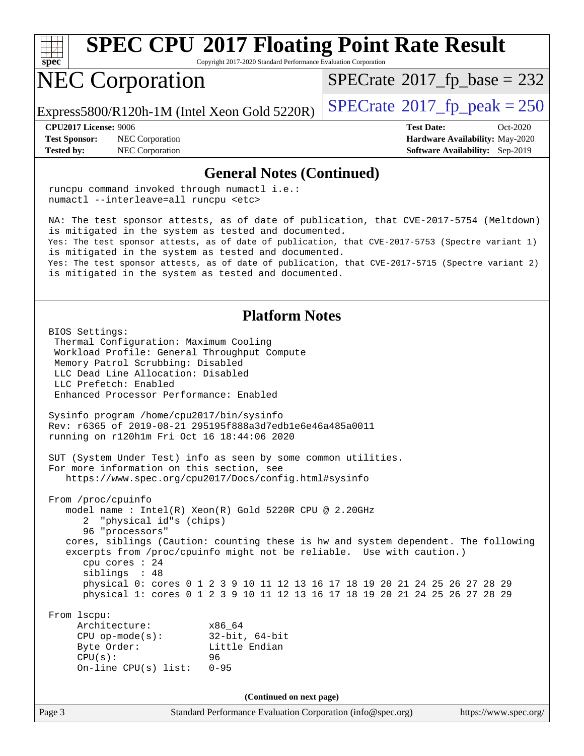

Copyright 2017-2020 Standard Performance Evaluation Corporation

# NEC Corporation

 $SPECTate$ <sup>®</sup>[2017\\_fp\\_base =](http://www.spec.org/auto/cpu2017/Docs/result-fields.html#SPECrate2017fpbase) 232

Express5800/R120h-1M (Intel Xeon Gold 5220R)  $\left|$  [SPECrate](http://www.spec.org/auto/cpu2017/Docs/result-fields.html#SPECrate2017fppeak)<sup>®</sup>[2017\\_fp\\_peak = 2](http://www.spec.org/auto/cpu2017/Docs/result-fields.html#SPECrate2017fppeak)50

**[Test Sponsor:](http://www.spec.org/auto/cpu2017/Docs/result-fields.html#TestSponsor)** NEC Corporation **[Hardware Availability:](http://www.spec.org/auto/cpu2017/Docs/result-fields.html#HardwareAvailability)** May-2020 **[Tested by:](http://www.spec.org/auto/cpu2017/Docs/result-fields.html#Testedby)** NEC Corporation **[Software Availability:](http://www.spec.org/auto/cpu2017/Docs/result-fields.html#SoftwareAvailability)** Sep-2019

**[CPU2017 License:](http://www.spec.org/auto/cpu2017/Docs/result-fields.html#CPU2017License)** 9006 **[Test Date:](http://www.spec.org/auto/cpu2017/Docs/result-fields.html#TestDate)** Oct-2020

#### **[General Notes \(Continued\)](http://www.spec.org/auto/cpu2017/Docs/result-fields.html#GeneralNotes)**

 runcpu command invoked through numactl i.e.: numactl --interleave=all runcpu <etc> NA: The test sponsor attests, as of date of publication, that CVE-2017-5754 (Meltdown) is mitigated in the system as tested and documented. Yes: The test sponsor attests, as of date of publication, that CVE-2017-5753 (Spectre variant 1) is mitigated in the system as tested and documented. Yes: The test sponsor attests, as of date of publication, that CVE-2017-5715 (Spectre variant 2) is mitigated in the system as tested and documented. **[Platform Notes](http://www.spec.org/auto/cpu2017/Docs/result-fields.html#PlatformNotes)** BIOS Settings: Thermal Configuration: Maximum Cooling Workload Profile: General Throughput Compute Memory Patrol Scrubbing: Disabled LLC Dead Line Allocation: Disabled LLC Prefetch: Enabled Enhanced Processor Performance: Enabled Sysinfo program /home/cpu2017/bin/sysinfo Rev: r6365 of 2019-08-21 295195f888a3d7edb1e6e46a485a0011 running on r120h1m Fri Oct 16 18:44:06 2020 SUT (System Under Test) info as seen by some common utilities. For more information on this section, see <https://www.spec.org/cpu2017/Docs/config.html#sysinfo> From /proc/cpuinfo model name : Intel(R) Xeon(R) Gold 5220R CPU @ 2.20GHz 2 "physical id"s (chips) 96 "processors" cores, siblings (Caution: counting these is hw and system dependent. The following excerpts from /proc/cpuinfo might not be reliable. Use with caution.) cpu cores : 24 siblings : 48 physical 0: cores 0 1 2 3 9 10 11 12 13 16 17 18 19 20 21 24 25 26 27 28 29 physical 1: cores 0 1 2 3 9 10 11 12 13 16 17 18 19 20 21 24 25 26 27 28 29 From lscpu: Architecture: x86\_64 CPU op-mode(s): 32-bit, 64-bit Byte Order: Little Endian CPU(s): 96 On-line CPU(s) list: 0-95 **(Continued on next page)**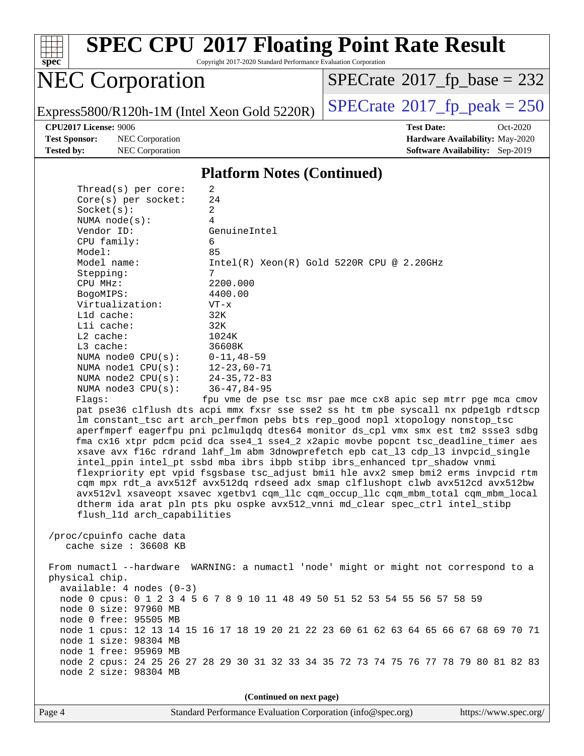

Copyright 2017-2020 Standard Performance Evaluation Corporation

# NEC Corporation

 $SPECTate$ <sup>®</sup>[2017\\_fp\\_base =](http://www.spec.org/auto/cpu2017/Docs/result-fields.html#SPECrate2017fpbase) 232

Express5800/R120h-1M (Intel Xeon Gold 5220R)  $\left|$  [SPECrate](http://www.spec.org/auto/cpu2017/Docs/result-fields.html#SPECrate2017fppeak)®[2017\\_fp\\_peak = 2](http://www.spec.org/auto/cpu2017/Docs/result-fields.html#SPECrate2017fppeak)50

**[Test Sponsor:](http://www.spec.org/auto/cpu2017/Docs/result-fields.html#TestSponsor)** NEC Corporation **[Hardware Availability:](http://www.spec.org/auto/cpu2017/Docs/result-fields.html#HardwareAvailability)** May-2020 **[Tested by:](http://www.spec.org/auto/cpu2017/Docs/result-fields.html#Testedby)** NEC Corporation **[Software Availability:](http://www.spec.org/auto/cpu2017/Docs/result-fields.html#SoftwareAvailability)** Sep-2019

**[CPU2017 License:](http://www.spec.org/auto/cpu2017/Docs/result-fields.html#CPU2017License)** 9006 **[Test Date:](http://www.spec.org/auto/cpu2017/Docs/result-fields.html#TestDate)** Oct-2020

#### **[Platform Notes \(Continued\)](http://www.spec.org/auto/cpu2017/Docs/result-fields.html#PlatformNotes)**

| Thread(s) per core:         | 2                                                                                    |
|-----------------------------|--------------------------------------------------------------------------------------|
| $Core(s)$ per socket:       | 24                                                                                   |
| Socket(s):                  | 2                                                                                    |
| NUMA $node(s):$             | $\overline{4}$                                                                       |
| Vendor ID:                  | GenuineIntel                                                                         |
| CPU family:                 | 6                                                                                    |
| Model:                      | 85                                                                                   |
| Model name:                 | $Intel(R)$ Xeon $(R)$ Gold 5220R CPU @ 2.20GHz                                       |
| Stepping:                   | 7                                                                                    |
| CPU MHz:                    | 2200.000                                                                             |
| BogoMIPS:                   | 4400.00                                                                              |
| Virtualization:             | $VT - x$                                                                             |
| L1d cache:                  | 32K                                                                                  |
| Lli cache:                  | 32K                                                                                  |
| $L2$ cache:                 | 1024K                                                                                |
| $L3$ cache:                 | 36608K                                                                               |
| NUMA $node0$ $CPU(s)$ :     | $0 - 11, 48 - 59$                                                                    |
| NUMA $node1$ $CPU(s):$      | $12 - 23,60 - 71$                                                                    |
| NUMA $node2$ $CPU(s):$      | $24 - 35, 72 - 83$                                                                   |
| NUMA node3 CPU(s):          | $36 - 47, 84 - 95$                                                                   |
| Flaqs:                      | fpu vme de pse tsc msr pae mce cx8 apic sep mtrr pge mca cmov                        |
|                             | pat pse36 clflush dts acpi mmx fxsr sse sse2 ss ht tm pbe syscall nx pdpelgb rdtscp  |
|                             | lm constant_tsc art arch_perfmon pebs bts rep_good nopl xtopology nonstop_tsc        |
|                             | aperfmperf eagerfpu pni pclmulqdq dtes64 monitor ds_cpl vmx smx est tm2 ssse3 sdbg   |
|                             | fma cx16 xtpr pdcm pcid dca sse4_1 sse4_2 x2apic movbe popcnt tsc_deadline_timer aes |
|                             | xsave avx f16c rdrand lahf_lm abm 3dnowprefetch epb cat_13 cdp_13 invpcid_single     |
|                             | intel_ppin intel_pt ssbd mba ibrs ibpb stibp ibrs_enhanced tpr_shadow vnmi           |
|                             | flexpriority ept vpid fsgsbase tsc_adjust bmil hle avx2 smep bmi2 erms invpcid rtm   |
|                             | cqm mpx rdt_a avx512f avx512dq rdseed adx smap clflushopt clwb avx512cd avx512bw     |
|                             | avx512vl xsaveopt xsavec xgetbvl cqm_llc cqm_occup_llc cqm_mbm_total cqm_mbm_local   |
|                             | dtherm ida arat pln pts pku ospke avx512_vnni md_clear spec_ctrl intel_stibp         |
| flush_l1d arch_capabilities |                                                                                      |
|                             |                                                                                      |
| /proc/cpuinfo cache data    |                                                                                      |
| cache size $: 36608$ KB     |                                                                                      |
|                             |                                                                                      |
|                             | From numactl --hardware WARNING: a numactl 'node' might or might not correspond to a |
| physical chip.              |                                                                                      |
| $available: 4 nodes (0-3)$  |                                                                                      |
|                             | node 0 cpus: 0 1 2 3 4 5 6 7 8 9 10 11 48 49 50 51 52 53 54 55 56 57 58 59           |
| node 0 size: 97960 MB       |                                                                                      |
| node 0 free: 95505 MB       |                                                                                      |
|                             | node 1 cpus: 12 13 14 15 16 17 18 19 20 21 22 23 60 61 62 63 64 65 66 67 68 69 70 71 |
| node 1 size: 98304 MB       |                                                                                      |
| node 1 free: 95969 MB       |                                                                                      |
|                             | node 2 cpus: 24 25 26 27 28 29 30 31 32 33 34 35 72 73 74 75 76 77 78 79 80 81 82 83 |
|                             |                                                                                      |

**(Continued on next page)**

node 2 size: 98304 MB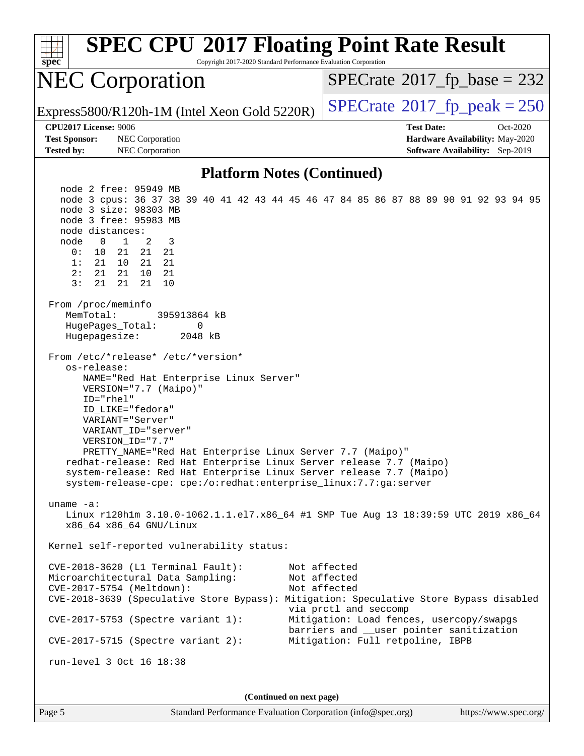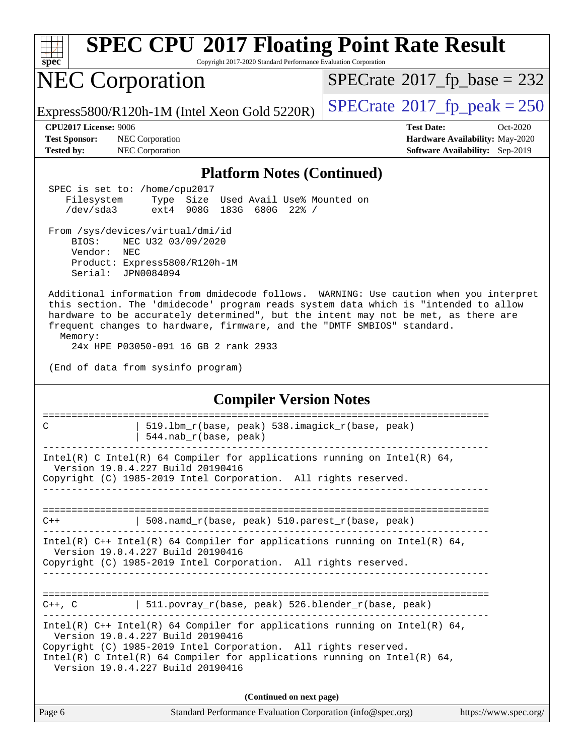| <b>SPEC CPU®2017 Floating Point Rate Result</b><br>spec<br>Copyright 2017-2020 Standard Performance Evaluation Corporation                                                                                                                                                                                                                                                                        |                                                                                                            |  |  |  |  |  |
|---------------------------------------------------------------------------------------------------------------------------------------------------------------------------------------------------------------------------------------------------------------------------------------------------------------------------------------------------------------------------------------------------|------------------------------------------------------------------------------------------------------------|--|--|--|--|--|
| <b>NEC Corporation</b>                                                                                                                                                                                                                                                                                                                                                                            | $SPECrate^{\circ}2017$ fp base = 232                                                                       |  |  |  |  |  |
| Express5800/R120h-1M (Intel Xeon Gold 5220R)                                                                                                                                                                                                                                                                                                                                                      | $SPECTate^{\circ}2017$ _fp_peak = 250                                                                      |  |  |  |  |  |
| CPU2017 License: 9006<br><b>Test Sponsor:</b><br>NEC Corporation<br><b>Tested by:</b><br>NEC Corporation                                                                                                                                                                                                                                                                                          | <b>Test Date:</b><br>Oct-2020<br>Hardware Availability: May-2020<br><b>Software Availability:</b> Sep-2019 |  |  |  |  |  |
| <b>Platform Notes (Continued)</b>                                                                                                                                                                                                                                                                                                                                                                 |                                                                                                            |  |  |  |  |  |
| SPEC is set to: /home/cpu2017<br>Filesystem<br>Type Size Used Avail Use% Mounted on<br>/dev/sda3<br>908G<br>183G<br>680G 22% /<br>ext4                                                                                                                                                                                                                                                            |                                                                                                            |  |  |  |  |  |
| From /sys/devices/virtual/dmi/id<br>BIOS:<br>NEC U32 03/09/2020<br>Vendor:<br>NEC<br>Product: Express5800/R120h-1M<br>Serial: JPN0084094                                                                                                                                                                                                                                                          |                                                                                                            |  |  |  |  |  |
| Additional information from dmidecode follows. WARNING: Use caution when you interpret<br>this section. The 'dmidecode' program reads system data which is "intended to allow<br>hardware to be accurately determined", but the intent may not be met, as there are<br>frequent changes to hardware, firmware, and the "DMTF SMBIOS" standard.<br>Memory:<br>24x HPE P03050-091 16 GB 2 rank 2933 |                                                                                                            |  |  |  |  |  |
| (End of data from sysinfo program)                                                                                                                                                                                                                                                                                                                                                                |                                                                                                            |  |  |  |  |  |
| <b>Compiler Version Notes</b>                                                                                                                                                                                                                                                                                                                                                                     |                                                                                                            |  |  |  |  |  |
| 519.1bm_r(base, peak) 538.imagick_r(base, peak)<br>C<br>544.nab_r(base, peak)                                                                                                                                                                                                                                                                                                                     | =======================                                                                                    |  |  |  |  |  |
| Intel(R) C Intel(R) 64 Compiler for applications running on Intel(R) 64,<br>Version 19.0.4.227 Build 20190416<br>Copyright (C) 1985-2019 Intel Corporation. All rights reserved.                                                                                                                                                                                                                  |                                                                                                            |  |  |  |  |  |
| 508.namd_r(base, peak) 510.parest_r(base, peak)<br>$C++$                                                                                                                                                                                                                                                                                                                                          |                                                                                                            |  |  |  |  |  |
| Intel(R) $C++$ Intel(R) 64 Compiler for applications running on Intel(R) 64,<br>Version 19.0.4.227 Build 20190416<br>Copyright (C) 1985-2019 Intel Corporation. All rights reserved.                                                                                                                                                                                                              |                                                                                                            |  |  |  |  |  |
| $C++$ , C $\qquad$   511.povray_r(base, peak) 526.blender_r(base, peak)                                                                                                                                                                                                                                                                                                                           |                                                                                                            |  |  |  |  |  |
| Intel(R) $C++$ Intel(R) 64 Compiler for applications running on Intel(R) 64,<br>Version 19.0.4.227 Build 20190416<br>Copyright (C) 1985-2019 Intel Corporation. All rights reserved.<br>Intel(R) C Intel(R) 64 Compiler for applications running on Intel(R) 64,<br>Version 19.0.4.227 Build 20190416                                                                                             |                                                                                                            |  |  |  |  |  |
| (Continued on next page)                                                                                                                                                                                                                                                                                                                                                                          |                                                                                                            |  |  |  |  |  |
| Standard Performance Evaluation Corporation (info@spec.org)<br>Page 6                                                                                                                                                                                                                                                                                                                             | https://www.spec.org/                                                                                      |  |  |  |  |  |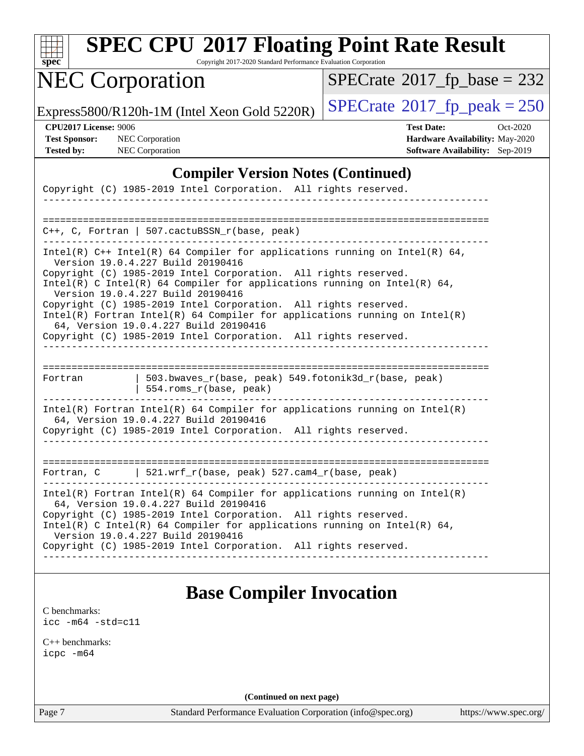| SI<br>pe<br>Ľ |  |  |  |  |  |
|---------------|--|--|--|--|--|

Copyright 2017-2020 Standard Performance Evaluation Corporation

# NEC Corporation

 $SPECrate$ <sup>®</sup>[2017\\_fp\\_base =](http://www.spec.org/auto/cpu2017/Docs/result-fields.html#SPECrate2017fpbase) 232

Express5800/R120h-1M (Intel Xeon Gold 5220R)  $\left|$  [SPECrate](http://www.spec.org/auto/cpu2017/Docs/result-fields.html#SPECrate2017fppeak)<sup>®</sup>[2017\\_fp\\_peak = 2](http://www.spec.org/auto/cpu2017/Docs/result-fields.html#SPECrate2017fppeak)50

**[CPU2017 License:](http://www.spec.org/auto/cpu2017/Docs/result-fields.html#CPU2017License)** 9006 **[Test Date:](http://www.spec.org/auto/cpu2017/Docs/result-fields.html#TestDate)** Oct-2020 **[Test Sponsor:](http://www.spec.org/auto/cpu2017/Docs/result-fields.html#TestSponsor)** NEC Corporation **[Hardware Availability:](http://www.spec.org/auto/cpu2017/Docs/result-fields.html#HardwareAvailability)** May-2020 **[Tested by:](http://www.spec.org/auto/cpu2017/Docs/result-fields.html#Testedby)** NEC Corporation **[Software Availability:](http://www.spec.org/auto/cpu2017/Docs/result-fields.html#SoftwareAvailability)** Sep-2019

### **[Compiler Version Notes \(Continued\)](http://www.spec.org/auto/cpu2017/Docs/result-fields.html#CompilerVersionNotes)**

| Copyright (C) 1985-2019 Intel Corporation. All rights reserved.                                                                                                                          |  |  |  |  |  |
|------------------------------------------------------------------------------------------------------------------------------------------------------------------------------------------|--|--|--|--|--|
|                                                                                                                                                                                          |  |  |  |  |  |
| $C_{++}$ , C, Fortran   507. cactuBSSN r(base, peak)                                                                                                                                     |  |  |  |  |  |
| Intel(R) $C++$ Intel(R) 64 Compiler for applications running on Intel(R) 64,<br>Version 19.0.4.227 Build 20190416                                                                        |  |  |  |  |  |
| Copyright (C) 1985-2019 Intel Corporation. All rights reserved.<br>Intel(R) C Intel(R) 64 Compiler for applications running on Intel(R) 64,<br>Version 19.0.4.227 Build 20190416         |  |  |  |  |  |
| Copyright (C) 1985-2019 Intel Corporation. All rights reserved.<br>$Intel(R)$ Fortran Intel(R) 64 Compiler for applications running on Intel(R)<br>64, Version 19.0.4.227 Build 20190416 |  |  |  |  |  |
| Copyright (C) 1985-2019 Intel Corporation. All rights reserved.                                                                                                                          |  |  |  |  |  |
| =================================<br>503.bwaves_r(base, peak) 549.fotonik3d_r(base, peak)<br>Fortran<br>554.roms_r(base, peak)                                                           |  |  |  |  |  |
| $Intel(R)$ Fortran Intel(R) 64 Compiler for applications running on Intel(R)<br>64, Version 19.0.4.227 Build 20190416<br>Copyright (C) 1985-2019 Intel Corporation. All rights reserved. |  |  |  |  |  |
|                                                                                                                                                                                          |  |  |  |  |  |
| Fortran, C $\qquad$ 521.wrf_r(base, peak) 527.cam4_r(base, peak)                                                                                                                         |  |  |  |  |  |
| $Intel(R)$ Fortran Intel(R) 64 Compiler for applications running on Intel(R)<br>64, Version 19.0.4.227 Build 20190416<br>Copyright (C) 1985-2019 Intel Corporation. All rights reserved. |  |  |  |  |  |
| Intel(R) C Intel(R) 64 Compiler for applications running on Intel(R) 64,<br>Version 19.0.4.227 Build 20190416                                                                            |  |  |  |  |  |
| Copyright (C) 1985-2019 Intel Corporation. All rights reserved.                                                                                                                          |  |  |  |  |  |

## **[Base Compiler Invocation](http://www.spec.org/auto/cpu2017/Docs/result-fields.html#BaseCompilerInvocation)**

[C benchmarks](http://www.spec.org/auto/cpu2017/Docs/result-fields.html#Cbenchmarks): [icc -m64 -std=c11](http://www.spec.org/cpu2017/results/res2020q4/cpu2017-20201026-24262.flags.html#user_CCbase_intel_icc_64bit_c11_33ee0cdaae7deeeab2a9725423ba97205ce30f63b9926c2519791662299b76a0318f32ddfffdc46587804de3178b4f9328c46fa7c2b0cd779d7a61945c91cd35)

[C++ benchmarks:](http://www.spec.org/auto/cpu2017/Docs/result-fields.html#CXXbenchmarks) [icpc -m64](http://www.spec.org/cpu2017/results/res2020q4/cpu2017-20201026-24262.flags.html#user_CXXbase_intel_icpc_64bit_4ecb2543ae3f1412ef961e0650ca070fec7b7afdcd6ed48761b84423119d1bf6bdf5cad15b44d48e7256388bc77273b966e5eb805aefd121eb22e9299b2ec9d9)

**(Continued on next page)**

Page 7 Standard Performance Evaluation Corporation [\(info@spec.org\)](mailto:info@spec.org) <https://www.spec.org/>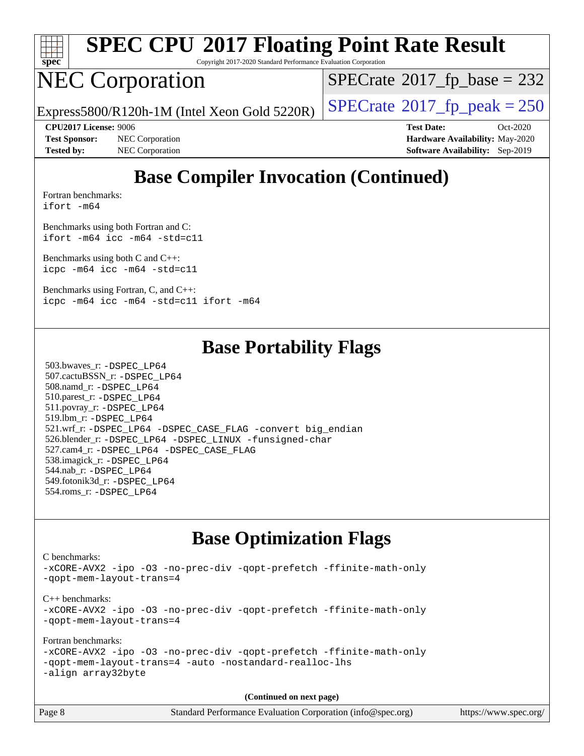

Copyright 2017-2020 Standard Performance Evaluation Corporation

# NEC Corporation

 $SPECTate$ <sup>®</sup>[2017\\_fp\\_base =](http://www.spec.org/auto/cpu2017/Docs/result-fields.html#SPECrate2017fpbase) 232

Express5800/R120h-1M (Intel Xeon Gold 5220R)  $\vert$  [SPECrate](http://www.spec.org/auto/cpu2017/Docs/result-fields.html#SPECrate2017fppeak)®[2017\\_fp\\_peak = 2](http://www.spec.org/auto/cpu2017/Docs/result-fields.html#SPECrate2017fppeak)50

**[Test Sponsor:](http://www.spec.org/auto/cpu2017/Docs/result-fields.html#TestSponsor)** NEC Corporation **[Hardware Availability:](http://www.spec.org/auto/cpu2017/Docs/result-fields.html#HardwareAvailability)** May-2020 **[Tested by:](http://www.spec.org/auto/cpu2017/Docs/result-fields.html#Testedby)** NEC Corporation **[Software Availability:](http://www.spec.org/auto/cpu2017/Docs/result-fields.html#SoftwareAvailability)** Sep-2019

**[CPU2017 License:](http://www.spec.org/auto/cpu2017/Docs/result-fields.html#CPU2017License)** 9006 **[Test Date:](http://www.spec.org/auto/cpu2017/Docs/result-fields.html#TestDate)** Oct-2020

# **[Base Compiler Invocation \(Continued\)](http://www.spec.org/auto/cpu2017/Docs/result-fields.html#BaseCompilerInvocation)**

[Fortran benchmarks](http://www.spec.org/auto/cpu2017/Docs/result-fields.html#Fortranbenchmarks): [ifort -m64](http://www.spec.org/cpu2017/results/res2020q4/cpu2017-20201026-24262.flags.html#user_FCbase_intel_ifort_64bit_24f2bb282fbaeffd6157abe4f878425411749daecae9a33200eee2bee2fe76f3b89351d69a8130dd5949958ce389cf37ff59a95e7a40d588e8d3a57e0c3fd751)

[Benchmarks using both Fortran and C](http://www.spec.org/auto/cpu2017/Docs/result-fields.html#BenchmarksusingbothFortranandC): [ifort -m64](http://www.spec.org/cpu2017/results/res2020q4/cpu2017-20201026-24262.flags.html#user_CC_FCbase_intel_ifort_64bit_24f2bb282fbaeffd6157abe4f878425411749daecae9a33200eee2bee2fe76f3b89351d69a8130dd5949958ce389cf37ff59a95e7a40d588e8d3a57e0c3fd751) [icc -m64 -std=c11](http://www.spec.org/cpu2017/results/res2020q4/cpu2017-20201026-24262.flags.html#user_CC_FCbase_intel_icc_64bit_c11_33ee0cdaae7deeeab2a9725423ba97205ce30f63b9926c2519791662299b76a0318f32ddfffdc46587804de3178b4f9328c46fa7c2b0cd779d7a61945c91cd35)

[Benchmarks using both C and C++](http://www.spec.org/auto/cpu2017/Docs/result-fields.html#BenchmarksusingbothCandCXX): [icpc -m64](http://www.spec.org/cpu2017/results/res2020q4/cpu2017-20201026-24262.flags.html#user_CC_CXXbase_intel_icpc_64bit_4ecb2543ae3f1412ef961e0650ca070fec7b7afdcd6ed48761b84423119d1bf6bdf5cad15b44d48e7256388bc77273b966e5eb805aefd121eb22e9299b2ec9d9) [icc -m64 -std=c11](http://www.spec.org/cpu2017/results/res2020q4/cpu2017-20201026-24262.flags.html#user_CC_CXXbase_intel_icc_64bit_c11_33ee0cdaae7deeeab2a9725423ba97205ce30f63b9926c2519791662299b76a0318f32ddfffdc46587804de3178b4f9328c46fa7c2b0cd779d7a61945c91cd35)

[Benchmarks using Fortran, C, and C++:](http://www.spec.org/auto/cpu2017/Docs/result-fields.html#BenchmarksusingFortranCandCXX) [icpc -m64](http://www.spec.org/cpu2017/results/res2020q4/cpu2017-20201026-24262.flags.html#user_CC_CXX_FCbase_intel_icpc_64bit_4ecb2543ae3f1412ef961e0650ca070fec7b7afdcd6ed48761b84423119d1bf6bdf5cad15b44d48e7256388bc77273b966e5eb805aefd121eb22e9299b2ec9d9) [icc -m64 -std=c11](http://www.spec.org/cpu2017/results/res2020q4/cpu2017-20201026-24262.flags.html#user_CC_CXX_FCbase_intel_icc_64bit_c11_33ee0cdaae7deeeab2a9725423ba97205ce30f63b9926c2519791662299b76a0318f32ddfffdc46587804de3178b4f9328c46fa7c2b0cd779d7a61945c91cd35) [ifort -m64](http://www.spec.org/cpu2017/results/res2020q4/cpu2017-20201026-24262.flags.html#user_CC_CXX_FCbase_intel_ifort_64bit_24f2bb282fbaeffd6157abe4f878425411749daecae9a33200eee2bee2fe76f3b89351d69a8130dd5949958ce389cf37ff59a95e7a40d588e8d3a57e0c3fd751)

## **[Base Portability Flags](http://www.spec.org/auto/cpu2017/Docs/result-fields.html#BasePortabilityFlags)**

 503.bwaves\_r: [-DSPEC\\_LP64](http://www.spec.org/cpu2017/results/res2020q4/cpu2017-20201026-24262.flags.html#suite_basePORTABILITY503_bwaves_r_DSPEC_LP64) 507.cactuBSSN\_r: [-DSPEC\\_LP64](http://www.spec.org/cpu2017/results/res2020q4/cpu2017-20201026-24262.flags.html#suite_basePORTABILITY507_cactuBSSN_r_DSPEC_LP64) 508.namd\_r: [-DSPEC\\_LP64](http://www.spec.org/cpu2017/results/res2020q4/cpu2017-20201026-24262.flags.html#suite_basePORTABILITY508_namd_r_DSPEC_LP64) 510.parest\_r: [-DSPEC\\_LP64](http://www.spec.org/cpu2017/results/res2020q4/cpu2017-20201026-24262.flags.html#suite_basePORTABILITY510_parest_r_DSPEC_LP64) 511.povray\_r: [-DSPEC\\_LP64](http://www.spec.org/cpu2017/results/res2020q4/cpu2017-20201026-24262.flags.html#suite_basePORTABILITY511_povray_r_DSPEC_LP64) 519.lbm\_r: [-DSPEC\\_LP64](http://www.spec.org/cpu2017/results/res2020q4/cpu2017-20201026-24262.flags.html#suite_basePORTABILITY519_lbm_r_DSPEC_LP64) 521.wrf\_r: [-DSPEC\\_LP64](http://www.spec.org/cpu2017/results/res2020q4/cpu2017-20201026-24262.flags.html#suite_basePORTABILITY521_wrf_r_DSPEC_LP64) [-DSPEC\\_CASE\\_FLAG](http://www.spec.org/cpu2017/results/res2020q4/cpu2017-20201026-24262.flags.html#b521.wrf_r_baseCPORTABILITY_DSPEC_CASE_FLAG) [-convert big\\_endian](http://www.spec.org/cpu2017/results/res2020q4/cpu2017-20201026-24262.flags.html#user_baseFPORTABILITY521_wrf_r_convert_big_endian_c3194028bc08c63ac5d04de18c48ce6d347e4e562e8892b8bdbdc0214820426deb8554edfa529a3fb25a586e65a3d812c835984020483e7e73212c4d31a38223) 526.blender\_r: [-DSPEC\\_LP64](http://www.spec.org/cpu2017/results/res2020q4/cpu2017-20201026-24262.flags.html#suite_basePORTABILITY526_blender_r_DSPEC_LP64) [-DSPEC\\_LINUX](http://www.spec.org/cpu2017/results/res2020q4/cpu2017-20201026-24262.flags.html#b526.blender_r_baseCPORTABILITY_DSPEC_LINUX) [-funsigned-char](http://www.spec.org/cpu2017/results/res2020q4/cpu2017-20201026-24262.flags.html#user_baseCPORTABILITY526_blender_r_force_uchar_40c60f00ab013830e2dd6774aeded3ff59883ba5a1fc5fc14077f794d777847726e2a5858cbc7672e36e1b067e7e5c1d9a74f7176df07886a243d7cc18edfe67) 527.cam4\_r: [-DSPEC\\_LP64](http://www.spec.org/cpu2017/results/res2020q4/cpu2017-20201026-24262.flags.html#suite_basePORTABILITY527_cam4_r_DSPEC_LP64) [-DSPEC\\_CASE\\_FLAG](http://www.spec.org/cpu2017/results/res2020q4/cpu2017-20201026-24262.flags.html#b527.cam4_r_baseCPORTABILITY_DSPEC_CASE_FLAG) 538.imagick\_r: [-DSPEC\\_LP64](http://www.spec.org/cpu2017/results/res2020q4/cpu2017-20201026-24262.flags.html#suite_basePORTABILITY538_imagick_r_DSPEC_LP64) 544.nab\_r: [-DSPEC\\_LP64](http://www.spec.org/cpu2017/results/res2020q4/cpu2017-20201026-24262.flags.html#suite_basePORTABILITY544_nab_r_DSPEC_LP64) 549.fotonik3d\_r: [-DSPEC\\_LP64](http://www.spec.org/cpu2017/results/res2020q4/cpu2017-20201026-24262.flags.html#suite_basePORTABILITY549_fotonik3d_r_DSPEC_LP64) 554.roms\_r: [-DSPEC\\_LP64](http://www.spec.org/cpu2017/results/res2020q4/cpu2017-20201026-24262.flags.html#suite_basePORTABILITY554_roms_r_DSPEC_LP64)

## **[Base Optimization Flags](http://www.spec.org/auto/cpu2017/Docs/result-fields.html#BaseOptimizationFlags)**

[C benchmarks](http://www.spec.org/auto/cpu2017/Docs/result-fields.html#Cbenchmarks): [-xCORE-AVX2](http://www.spec.org/cpu2017/results/res2020q4/cpu2017-20201026-24262.flags.html#user_CCbase_f-xCORE-AVX2) [-ipo](http://www.spec.org/cpu2017/results/res2020q4/cpu2017-20201026-24262.flags.html#user_CCbase_f-ipo) [-O3](http://www.spec.org/cpu2017/results/res2020q4/cpu2017-20201026-24262.flags.html#user_CCbase_f-O3) [-no-prec-div](http://www.spec.org/cpu2017/results/res2020q4/cpu2017-20201026-24262.flags.html#user_CCbase_f-no-prec-div) [-qopt-prefetch](http://www.spec.org/cpu2017/results/res2020q4/cpu2017-20201026-24262.flags.html#user_CCbase_f-qopt-prefetch) [-ffinite-math-only](http://www.spec.org/cpu2017/results/res2020q4/cpu2017-20201026-24262.flags.html#user_CCbase_f_finite_math_only_cb91587bd2077682c4b38af759c288ed7c732db004271a9512da14a4f8007909a5f1427ecbf1a0fb78ff2a814402c6114ac565ca162485bbcae155b5e4258871) [-qopt-mem-layout-trans=4](http://www.spec.org/cpu2017/results/res2020q4/cpu2017-20201026-24262.flags.html#user_CCbase_f-qopt-mem-layout-trans_fa39e755916c150a61361b7846f310bcdf6f04e385ef281cadf3647acec3f0ae266d1a1d22d972a7087a248fd4e6ca390a3634700869573d231a252c784941a8) [C++ benchmarks:](http://www.spec.org/auto/cpu2017/Docs/result-fields.html#CXXbenchmarks) [-xCORE-AVX2](http://www.spec.org/cpu2017/results/res2020q4/cpu2017-20201026-24262.flags.html#user_CXXbase_f-xCORE-AVX2) [-ipo](http://www.spec.org/cpu2017/results/res2020q4/cpu2017-20201026-24262.flags.html#user_CXXbase_f-ipo) [-O3](http://www.spec.org/cpu2017/results/res2020q4/cpu2017-20201026-24262.flags.html#user_CXXbase_f-O3) [-no-prec-div](http://www.spec.org/cpu2017/results/res2020q4/cpu2017-20201026-24262.flags.html#user_CXXbase_f-no-prec-div) [-qopt-prefetch](http://www.spec.org/cpu2017/results/res2020q4/cpu2017-20201026-24262.flags.html#user_CXXbase_f-qopt-prefetch) [-ffinite-math-only](http://www.spec.org/cpu2017/results/res2020q4/cpu2017-20201026-24262.flags.html#user_CXXbase_f_finite_math_only_cb91587bd2077682c4b38af759c288ed7c732db004271a9512da14a4f8007909a5f1427ecbf1a0fb78ff2a814402c6114ac565ca162485bbcae155b5e4258871) [-qopt-mem-layout-trans=4](http://www.spec.org/cpu2017/results/res2020q4/cpu2017-20201026-24262.flags.html#user_CXXbase_f-qopt-mem-layout-trans_fa39e755916c150a61361b7846f310bcdf6f04e385ef281cadf3647acec3f0ae266d1a1d22d972a7087a248fd4e6ca390a3634700869573d231a252c784941a8) [Fortran benchmarks](http://www.spec.org/auto/cpu2017/Docs/result-fields.html#Fortranbenchmarks): [-xCORE-AVX2](http://www.spec.org/cpu2017/results/res2020q4/cpu2017-20201026-24262.flags.html#user_FCbase_f-xCORE-AVX2) [-ipo](http://www.spec.org/cpu2017/results/res2020q4/cpu2017-20201026-24262.flags.html#user_FCbase_f-ipo) [-O3](http://www.spec.org/cpu2017/results/res2020q4/cpu2017-20201026-24262.flags.html#user_FCbase_f-O3) [-no-prec-div](http://www.spec.org/cpu2017/results/res2020q4/cpu2017-20201026-24262.flags.html#user_FCbase_f-no-prec-div) [-qopt-prefetch](http://www.spec.org/cpu2017/results/res2020q4/cpu2017-20201026-24262.flags.html#user_FCbase_f-qopt-prefetch) [-ffinite-math-only](http://www.spec.org/cpu2017/results/res2020q4/cpu2017-20201026-24262.flags.html#user_FCbase_f_finite_math_only_cb91587bd2077682c4b38af759c288ed7c732db004271a9512da14a4f8007909a5f1427ecbf1a0fb78ff2a814402c6114ac565ca162485bbcae155b5e4258871) [-qopt-mem-layout-trans=4](http://www.spec.org/cpu2017/results/res2020q4/cpu2017-20201026-24262.flags.html#user_FCbase_f-qopt-mem-layout-trans_fa39e755916c150a61361b7846f310bcdf6f04e385ef281cadf3647acec3f0ae266d1a1d22d972a7087a248fd4e6ca390a3634700869573d231a252c784941a8) [-auto](http://www.spec.org/cpu2017/results/res2020q4/cpu2017-20201026-24262.flags.html#user_FCbase_f-auto) [-nostandard-realloc-lhs](http://www.spec.org/cpu2017/results/res2020q4/cpu2017-20201026-24262.flags.html#user_FCbase_f_2003_std_realloc_82b4557e90729c0f113870c07e44d33d6f5a304b4f63d4c15d2d0f1fab99f5daaed73bdb9275d9ae411527f28b936061aa8b9c8f2d63842963b95c9dd6426b8a) [-align array32byte](http://www.spec.org/cpu2017/results/res2020q4/cpu2017-20201026-24262.flags.html#user_FCbase_align_array32byte_b982fe038af199962ba9a80c053b8342c548c85b40b8e86eb3cc33dee0d7986a4af373ac2d51c3f7cf710a18d62fdce2948f201cd044323541f22fc0fffc51b6)

**(Continued on next page)**

| Page 8 | Standard Performance Evaluation Corporation (info@spec.org) | https://www.spec.org/ |
|--------|-------------------------------------------------------------|-----------------------|
|--------|-------------------------------------------------------------|-----------------------|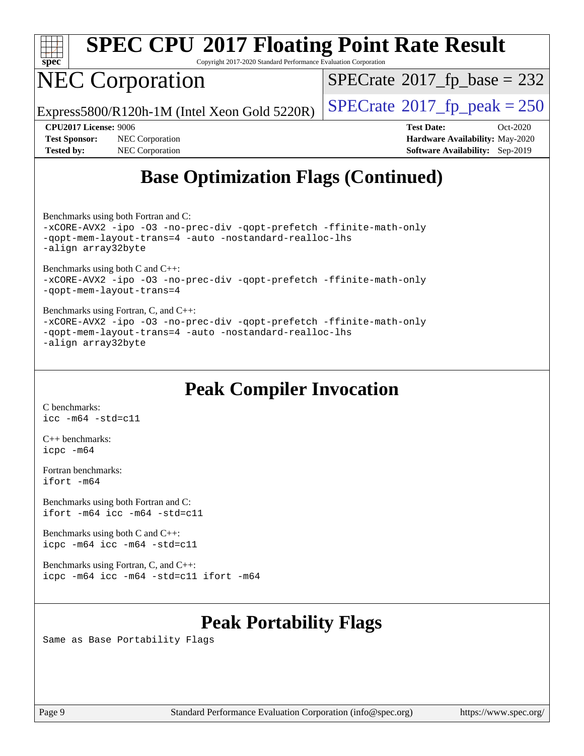

Copyright 2017-2020 Standard Performance Evaluation Corporation

# NEC Corporation

 $SPECTate$ <sup>®</sup>[2017\\_fp\\_base =](http://www.spec.org/auto/cpu2017/Docs/result-fields.html#SPECrate2017fpbase) 232

Express5800/R120h-1M (Intel Xeon Gold 5220R)  $\vert$  [SPECrate](http://www.spec.org/auto/cpu2017/Docs/result-fields.html#SPECrate2017fppeak)®[2017\\_fp\\_peak = 2](http://www.spec.org/auto/cpu2017/Docs/result-fields.html#SPECrate2017fppeak)50

**[Test Sponsor:](http://www.spec.org/auto/cpu2017/Docs/result-fields.html#TestSponsor)** NEC Corporation **[Hardware Availability:](http://www.spec.org/auto/cpu2017/Docs/result-fields.html#HardwareAvailability)** May-2020 **[Tested by:](http://www.spec.org/auto/cpu2017/Docs/result-fields.html#Testedby)** NEC Corporation **[Software Availability:](http://www.spec.org/auto/cpu2017/Docs/result-fields.html#SoftwareAvailability)** Sep-2019

**[CPU2017 License:](http://www.spec.org/auto/cpu2017/Docs/result-fields.html#CPU2017License)** 9006 **[Test Date:](http://www.spec.org/auto/cpu2017/Docs/result-fields.html#TestDate)** Oct-2020

# **[Base Optimization Flags \(Continued\)](http://www.spec.org/auto/cpu2017/Docs/result-fields.html#BaseOptimizationFlags)**

[Benchmarks using both Fortran and C](http://www.spec.org/auto/cpu2017/Docs/result-fields.html#BenchmarksusingbothFortranandC):

[-xCORE-AVX2](http://www.spec.org/cpu2017/results/res2020q4/cpu2017-20201026-24262.flags.html#user_CC_FCbase_f-xCORE-AVX2) [-ipo](http://www.spec.org/cpu2017/results/res2020q4/cpu2017-20201026-24262.flags.html#user_CC_FCbase_f-ipo) [-O3](http://www.spec.org/cpu2017/results/res2020q4/cpu2017-20201026-24262.flags.html#user_CC_FCbase_f-O3) [-no-prec-div](http://www.spec.org/cpu2017/results/res2020q4/cpu2017-20201026-24262.flags.html#user_CC_FCbase_f-no-prec-div) [-qopt-prefetch](http://www.spec.org/cpu2017/results/res2020q4/cpu2017-20201026-24262.flags.html#user_CC_FCbase_f-qopt-prefetch) [-ffinite-math-only](http://www.spec.org/cpu2017/results/res2020q4/cpu2017-20201026-24262.flags.html#user_CC_FCbase_f_finite_math_only_cb91587bd2077682c4b38af759c288ed7c732db004271a9512da14a4f8007909a5f1427ecbf1a0fb78ff2a814402c6114ac565ca162485bbcae155b5e4258871) [-qopt-mem-layout-trans=4](http://www.spec.org/cpu2017/results/res2020q4/cpu2017-20201026-24262.flags.html#user_CC_FCbase_f-qopt-mem-layout-trans_fa39e755916c150a61361b7846f310bcdf6f04e385ef281cadf3647acec3f0ae266d1a1d22d972a7087a248fd4e6ca390a3634700869573d231a252c784941a8) [-auto](http://www.spec.org/cpu2017/results/res2020q4/cpu2017-20201026-24262.flags.html#user_CC_FCbase_f-auto) [-nostandard-realloc-lhs](http://www.spec.org/cpu2017/results/res2020q4/cpu2017-20201026-24262.flags.html#user_CC_FCbase_f_2003_std_realloc_82b4557e90729c0f113870c07e44d33d6f5a304b4f63d4c15d2d0f1fab99f5daaed73bdb9275d9ae411527f28b936061aa8b9c8f2d63842963b95c9dd6426b8a) [-align array32byte](http://www.spec.org/cpu2017/results/res2020q4/cpu2017-20201026-24262.flags.html#user_CC_FCbase_align_array32byte_b982fe038af199962ba9a80c053b8342c548c85b40b8e86eb3cc33dee0d7986a4af373ac2d51c3f7cf710a18d62fdce2948f201cd044323541f22fc0fffc51b6)

[Benchmarks using both C and C++](http://www.spec.org/auto/cpu2017/Docs/result-fields.html#BenchmarksusingbothCandCXX): [-xCORE-AVX2](http://www.spec.org/cpu2017/results/res2020q4/cpu2017-20201026-24262.flags.html#user_CC_CXXbase_f-xCORE-AVX2) [-ipo](http://www.spec.org/cpu2017/results/res2020q4/cpu2017-20201026-24262.flags.html#user_CC_CXXbase_f-ipo) [-O3](http://www.spec.org/cpu2017/results/res2020q4/cpu2017-20201026-24262.flags.html#user_CC_CXXbase_f-O3) [-no-prec-div](http://www.spec.org/cpu2017/results/res2020q4/cpu2017-20201026-24262.flags.html#user_CC_CXXbase_f-no-prec-div) [-qopt-prefetch](http://www.spec.org/cpu2017/results/res2020q4/cpu2017-20201026-24262.flags.html#user_CC_CXXbase_f-qopt-prefetch) [-ffinite-math-only](http://www.spec.org/cpu2017/results/res2020q4/cpu2017-20201026-24262.flags.html#user_CC_CXXbase_f_finite_math_only_cb91587bd2077682c4b38af759c288ed7c732db004271a9512da14a4f8007909a5f1427ecbf1a0fb78ff2a814402c6114ac565ca162485bbcae155b5e4258871) [-qopt-mem-layout-trans=4](http://www.spec.org/cpu2017/results/res2020q4/cpu2017-20201026-24262.flags.html#user_CC_CXXbase_f-qopt-mem-layout-trans_fa39e755916c150a61361b7846f310bcdf6f04e385ef281cadf3647acec3f0ae266d1a1d22d972a7087a248fd4e6ca390a3634700869573d231a252c784941a8)

[Benchmarks using Fortran, C, and C++:](http://www.spec.org/auto/cpu2017/Docs/result-fields.html#BenchmarksusingFortranCandCXX) [-xCORE-AVX2](http://www.spec.org/cpu2017/results/res2020q4/cpu2017-20201026-24262.flags.html#user_CC_CXX_FCbase_f-xCORE-AVX2) [-ipo](http://www.spec.org/cpu2017/results/res2020q4/cpu2017-20201026-24262.flags.html#user_CC_CXX_FCbase_f-ipo) [-O3](http://www.spec.org/cpu2017/results/res2020q4/cpu2017-20201026-24262.flags.html#user_CC_CXX_FCbase_f-O3) [-no-prec-div](http://www.spec.org/cpu2017/results/res2020q4/cpu2017-20201026-24262.flags.html#user_CC_CXX_FCbase_f-no-prec-div) [-qopt-prefetch](http://www.spec.org/cpu2017/results/res2020q4/cpu2017-20201026-24262.flags.html#user_CC_CXX_FCbase_f-qopt-prefetch) [-ffinite-math-only](http://www.spec.org/cpu2017/results/res2020q4/cpu2017-20201026-24262.flags.html#user_CC_CXX_FCbase_f_finite_math_only_cb91587bd2077682c4b38af759c288ed7c732db004271a9512da14a4f8007909a5f1427ecbf1a0fb78ff2a814402c6114ac565ca162485bbcae155b5e4258871) [-qopt-mem-layout-trans=4](http://www.spec.org/cpu2017/results/res2020q4/cpu2017-20201026-24262.flags.html#user_CC_CXX_FCbase_f-qopt-mem-layout-trans_fa39e755916c150a61361b7846f310bcdf6f04e385ef281cadf3647acec3f0ae266d1a1d22d972a7087a248fd4e6ca390a3634700869573d231a252c784941a8) [-auto](http://www.spec.org/cpu2017/results/res2020q4/cpu2017-20201026-24262.flags.html#user_CC_CXX_FCbase_f-auto) [-nostandard-realloc-lhs](http://www.spec.org/cpu2017/results/res2020q4/cpu2017-20201026-24262.flags.html#user_CC_CXX_FCbase_f_2003_std_realloc_82b4557e90729c0f113870c07e44d33d6f5a304b4f63d4c15d2d0f1fab99f5daaed73bdb9275d9ae411527f28b936061aa8b9c8f2d63842963b95c9dd6426b8a) [-align array32byte](http://www.spec.org/cpu2017/results/res2020q4/cpu2017-20201026-24262.flags.html#user_CC_CXX_FCbase_align_array32byte_b982fe038af199962ba9a80c053b8342c548c85b40b8e86eb3cc33dee0d7986a4af373ac2d51c3f7cf710a18d62fdce2948f201cd044323541f22fc0fffc51b6)

## **[Peak Compiler Invocation](http://www.spec.org/auto/cpu2017/Docs/result-fields.html#PeakCompilerInvocation)**

[C benchmarks](http://www.spec.org/auto/cpu2017/Docs/result-fields.html#Cbenchmarks): [icc -m64 -std=c11](http://www.spec.org/cpu2017/results/res2020q4/cpu2017-20201026-24262.flags.html#user_CCpeak_intel_icc_64bit_c11_33ee0cdaae7deeeab2a9725423ba97205ce30f63b9926c2519791662299b76a0318f32ddfffdc46587804de3178b4f9328c46fa7c2b0cd779d7a61945c91cd35)

[C++ benchmarks:](http://www.spec.org/auto/cpu2017/Docs/result-fields.html#CXXbenchmarks) [icpc -m64](http://www.spec.org/cpu2017/results/res2020q4/cpu2017-20201026-24262.flags.html#user_CXXpeak_intel_icpc_64bit_4ecb2543ae3f1412ef961e0650ca070fec7b7afdcd6ed48761b84423119d1bf6bdf5cad15b44d48e7256388bc77273b966e5eb805aefd121eb22e9299b2ec9d9)

[Fortran benchmarks](http://www.spec.org/auto/cpu2017/Docs/result-fields.html#Fortranbenchmarks): [ifort -m64](http://www.spec.org/cpu2017/results/res2020q4/cpu2017-20201026-24262.flags.html#user_FCpeak_intel_ifort_64bit_24f2bb282fbaeffd6157abe4f878425411749daecae9a33200eee2bee2fe76f3b89351d69a8130dd5949958ce389cf37ff59a95e7a40d588e8d3a57e0c3fd751)

[Benchmarks using both Fortran and C](http://www.spec.org/auto/cpu2017/Docs/result-fields.html#BenchmarksusingbothFortranandC): [ifort -m64](http://www.spec.org/cpu2017/results/res2020q4/cpu2017-20201026-24262.flags.html#user_CC_FCpeak_intel_ifort_64bit_24f2bb282fbaeffd6157abe4f878425411749daecae9a33200eee2bee2fe76f3b89351d69a8130dd5949958ce389cf37ff59a95e7a40d588e8d3a57e0c3fd751) [icc -m64 -std=c11](http://www.spec.org/cpu2017/results/res2020q4/cpu2017-20201026-24262.flags.html#user_CC_FCpeak_intel_icc_64bit_c11_33ee0cdaae7deeeab2a9725423ba97205ce30f63b9926c2519791662299b76a0318f32ddfffdc46587804de3178b4f9328c46fa7c2b0cd779d7a61945c91cd35)

[Benchmarks using both C and C++](http://www.spec.org/auto/cpu2017/Docs/result-fields.html#BenchmarksusingbothCandCXX): [icpc -m64](http://www.spec.org/cpu2017/results/res2020q4/cpu2017-20201026-24262.flags.html#user_CC_CXXpeak_intel_icpc_64bit_4ecb2543ae3f1412ef961e0650ca070fec7b7afdcd6ed48761b84423119d1bf6bdf5cad15b44d48e7256388bc77273b966e5eb805aefd121eb22e9299b2ec9d9) [icc -m64 -std=c11](http://www.spec.org/cpu2017/results/res2020q4/cpu2017-20201026-24262.flags.html#user_CC_CXXpeak_intel_icc_64bit_c11_33ee0cdaae7deeeab2a9725423ba97205ce30f63b9926c2519791662299b76a0318f32ddfffdc46587804de3178b4f9328c46fa7c2b0cd779d7a61945c91cd35)

[Benchmarks using Fortran, C, and C++:](http://www.spec.org/auto/cpu2017/Docs/result-fields.html#BenchmarksusingFortranCandCXX) [icpc -m64](http://www.spec.org/cpu2017/results/res2020q4/cpu2017-20201026-24262.flags.html#user_CC_CXX_FCpeak_intel_icpc_64bit_4ecb2543ae3f1412ef961e0650ca070fec7b7afdcd6ed48761b84423119d1bf6bdf5cad15b44d48e7256388bc77273b966e5eb805aefd121eb22e9299b2ec9d9) [icc -m64 -std=c11](http://www.spec.org/cpu2017/results/res2020q4/cpu2017-20201026-24262.flags.html#user_CC_CXX_FCpeak_intel_icc_64bit_c11_33ee0cdaae7deeeab2a9725423ba97205ce30f63b9926c2519791662299b76a0318f32ddfffdc46587804de3178b4f9328c46fa7c2b0cd779d7a61945c91cd35) [ifort -m64](http://www.spec.org/cpu2017/results/res2020q4/cpu2017-20201026-24262.flags.html#user_CC_CXX_FCpeak_intel_ifort_64bit_24f2bb282fbaeffd6157abe4f878425411749daecae9a33200eee2bee2fe76f3b89351d69a8130dd5949958ce389cf37ff59a95e7a40d588e8d3a57e0c3fd751)

## **[Peak Portability Flags](http://www.spec.org/auto/cpu2017/Docs/result-fields.html#PeakPortabilityFlags)**

Same as Base Portability Flags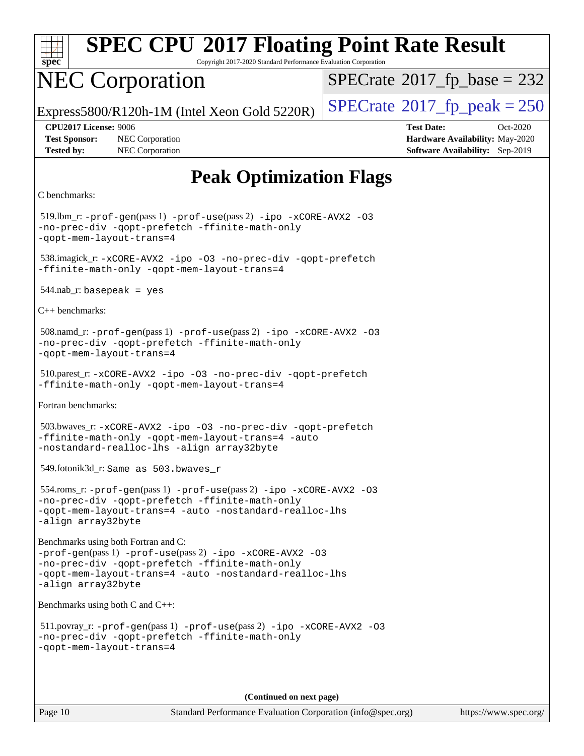

Copyright 2017-2020 Standard Performance Evaluation Corporation

# NEC Corporation

 $SPECTate$ <sup>®</sup>[2017\\_fp\\_base =](http://www.spec.org/auto/cpu2017/Docs/result-fields.html#SPECrate2017fpbase) 232

Express5800/R120h-1M (Intel Xeon Gold 5220R)  $\vert$  [SPECrate](http://www.spec.org/auto/cpu2017/Docs/result-fields.html#SPECrate2017fppeak)®[2017\\_fp\\_peak = 2](http://www.spec.org/auto/cpu2017/Docs/result-fields.html#SPECrate2017fppeak)50

**[Test Sponsor:](http://www.spec.org/auto/cpu2017/Docs/result-fields.html#TestSponsor)** NEC Corporation **[Hardware Availability:](http://www.spec.org/auto/cpu2017/Docs/result-fields.html#HardwareAvailability)** May-2020 **[Tested by:](http://www.spec.org/auto/cpu2017/Docs/result-fields.html#Testedby)** NEC Corporation **[Software Availability:](http://www.spec.org/auto/cpu2017/Docs/result-fields.html#SoftwareAvailability)** Sep-2019

**[CPU2017 License:](http://www.spec.org/auto/cpu2017/Docs/result-fields.html#CPU2017License)** 9006 **[Test Date:](http://www.spec.org/auto/cpu2017/Docs/result-fields.html#TestDate)** Oct-2020

# **[Peak Optimization Flags](http://www.spec.org/auto/cpu2017/Docs/result-fields.html#PeakOptimizationFlags)**

```
C benchmarks:
```
 519.lbm\_r: [-prof-gen](http://www.spec.org/cpu2017/results/res2020q4/cpu2017-20201026-24262.flags.html#user_peakPASS1_CFLAGSPASS1_LDFLAGS519_lbm_r_prof_gen_5aa4926d6013ddb2a31985c654b3eb18169fc0c6952a63635c234f711e6e63dd76e94ad52365559451ec499a2cdb89e4dc58ba4c67ef54ca681ffbe1461d6b36)(pass 1) [-prof-use](http://www.spec.org/cpu2017/results/res2020q4/cpu2017-20201026-24262.flags.html#user_peakPASS2_CFLAGSPASS2_LDFLAGS519_lbm_r_prof_use_1a21ceae95f36a2b53c25747139a6c16ca95bd9def2a207b4f0849963b97e94f5260e30a0c64f4bb623698870e679ca08317ef8150905d41bd88c6f78df73f19)(pass 2) [-ipo](http://www.spec.org/cpu2017/results/res2020q4/cpu2017-20201026-24262.flags.html#user_peakPASS1_COPTIMIZEPASS2_COPTIMIZE519_lbm_r_f-ipo) [-xCORE-AVX2](http://www.spec.org/cpu2017/results/res2020q4/cpu2017-20201026-24262.flags.html#user_peakPASS2_COPTIMIZE519_lbm_r_f-xCORE-AVX2) [-O3](http://www.spec.org/cpu2017/results/res2020q4/cpu2017-20201026-24262.flags.html#user_peakPASS1_COPTIMIZEPASS2_COPTIMIZE519_lbm_r_f-O3) [-no-prec-div](http://www.spec.org/cpu2017/results/res2020q4/cpu2017-20201026-24262.flags.html#user_peakPASS1_COPTIMIZEPASS2_COPTIMIZE519_lbm_r_f-no-prec-div) [-qopt-prefetch](http://www.spec.org/cpu2017/results/res2020q4/cpu2017-20201026-24262.flags.html#user_peakPASS1_COPTIMIZEPASS2_COPTIMIZE519_lbm_r_f-qopt-prefetch) [-ffinite-math-only](http://www.spec.org/cpu2017/results/res2020q4/cpu2017-20201026-24262.flags.html#user_peakPASS1_COPTIMIZEPASS2_COPTIMIZE519_lbm_r_f_finite_math_only_cb91587bd2077682c4b38af759c288ed7c732db004271a9512da14a4f8007909a5f1427ecbf1a0fb78ff2a814402c6114ac565ca162485bbcae155b5e4258871) [-qopt-mem-layout-trans=4](http://www.spec.org/cpu2017/results/res2020q4/cpu2017-20201026-24262.flags.html#user_peakPASS1_COPTIMIZEPASS2_COPTIMIZE519_lbm_r_f-qopt-mem-layout-trans_fa39e755916c150a61361b7846f310bcdf6f04e385ef281cadf3647acec3f0ae266d1a1d22d972a7087a248fd4e6ca390a3634700869573d231a252c784941a8) 538.imagick\_r: [-xCORE-AVX2](http://www.spec.org/cpu2017/results/res2020q4/cpu2017-20201026-24262.flags.html#user_peakCOPTIMIZE538_imagick_r_f-xCORE-AVX2) [-ipo](http://www.spec.org/cpu2017/results/res2020q4/cpu2017-20201026-24262.flags.html#user_peakCOPTIMIZE538_imagick_r_f-ipo) [-O3](http://www.spec.org/cpu2017/results/res2020q4/cpu2017-20201026-24262.flags.html#user_peakCOPTIMIZE538_imagick_r_f-O3) [-no-prec-div](http://www.spec.org/cpu2017/results/res2020q4/cpu2017-20201026-24262.flags.html#user_peakCOPTIMIZE538_imagick_r_f-no-prec-div) [-qopt-prefetch](http://www.spec.org/cpu2017/results/res2020q4/cpu2017-20201026-24262.flags.html#user_peakCOPTIMIZE538_imagick_r_f-qopt-prefetch) [-ffinite-math-only](http://www.spec.org/cpu2017/results/res2020q4/cpu2017-20201026-24262.flags.html#user_peakCOPTIMIZE538_imagick_r_f_finite_math_only_cb91587bd2077682c4b38af759c288ed7c732db004271a9512da14a4f8007909a5f1427ecbf1a0fb78ff2a814402c6114ac565ca162485bbcae155b5e4258871) [-qopt-mem-layout-trans=4](http://www.spec.org/cpu2017/results/res2020q4/cpu2017-20201026-24262.flags.html#user_peakCOPTIMIZE538_imagick_r_f-qopt-mem-layout-trans_fa39e755916c150a61361b7846f310bcdf6f04e385ef281cadf3647acec3f0ae266d1a1d22d972a7087a248fd4e6ca390a3634700869573d231a252c784941a8)  $544$ .nab\_r: basepeak = yes [C++ benchmarks:](http://www.spec.org/auto/cpu2017/Docs/result-fields.html#CXXbenchmarks) 508.namd\_r: [-prof-gen](http://www.spec.org/cpu2017/results/res2020q4/cpu2017-20201026-24262.flags.html#user_peakPASS1_CXXFLAGSPASS1_LDFLAGS508_namd_r_prof_gen_5aa4926d6013ddb2a31985c654b3eb18169fc0c6952a63635c234f711e6e63dd76e94ad52365559451ec499a2cdb89e4dc58ba4c67ef54ca681ffbe1461d6b36)(pass 1) [-prof-use](http://www.spec.org/cpu2017/results/res2020q4/cpu2017-20201026-24262.flags.html#user_peakPASS2_CXXFLAGSPASS2_LDFLAGS508_namd_r_prof_use_1a21ceae95f36a2b53c25747139a6c16ca95bd9def2a207b4f0849963b97e94f5260e30a0c64f4bb623698870e679ca08317ef8150905d41bd88c6f78df73f19)(pass 2) [-ipo](http://www.spec.org/cpu2017/results/res2020q4/cpu2017-20201026-24262.flags.html#user_peakPASS1_CXXOPTIMIZEPASS2_CXXOPTIMIZE508_namd_r_f-ipo) [-xCORE-AVX2](http://www.spec.org/cpu2017/results/res2020q4/cpu2017-20201026-24262.flags.html#user_peakPASS2_CXXOPTIMIZE508_namd_r_f-xCORE-AVX2) [-O3](http://www.spec.org/cpu2017/results/res2020q4/cpu2017-20201026-24262.flags.html#user_peakPASS1_CXXOPTIMIZEPASS2_CXXOPTIMIZE508_namd_r_f-O3) [-no-prec-div](http://www.spec.org/cpu2017/results/res2020q4/cpu2017-20201026-24262.flags.html#user_peakPASS1_CXXOPTIMIZEPASS2_CXXOPTIMIZE508_namd_r_f-no-prec-div) [-qopt-prefetch](http://www.spec.org/cpu2017/results/res2020q4/cpu2017-20201026-24262.flags.html#user_peakPASS1_CXXOPTIMIZEPASS2_CXXOPTIMIZE508_namd_r_f-qopt-prefetch) [-ffinite-math-only](http://www.spec.org/cpu2017/results/res2020q4/cpu2017-20201026-24262.flags.html#user_peakPASS1_CXXOPTIMIZEPASS2_CXXOPTIMIZE508_namd_r_f_finite_math_only_cb91587bd2077682c4b38af759c288ed7c732db004271a9512da14a4f8007909a5f1427ecbf1a0fb78ff2a814402c6114ac565ca162485bbcae155b5e4258871) [-qopt-mem-layout-trans=4](http://www.spec.org/cpu2017/results/res2020q4/cpu2017-20201026-24262.flags.html#user_peakPASS1_CXXOPTIMIZEPASS2_CXXOPTIMIZE508_namd_r_f-qopt-mem-layout-trans_fa39e755916c150a61361b7846f310bcdf6f04e385ef281cadf3647acec3f0ae266d1a1d22d972a7087a248fd4e6ca390a3634700869573d231a252c784941a8) 510.parest\_r: [-xCORE-AVX2](http://www.spec.org/cpu2017/results/res2020q4/cpu2017-20201026-24262.flags.html#user_peakCXXOPTIMIZE510_parest_r_f-xCORE-AVX2) [-ipo](http://www.spec.org/cpu2017/results/res2020q4/cpu2017-20201026-24262.flags.html#user_peakCXXOPTIMIZE510_parest_r_f-ipo) [-O3](http://www.spec.org/cpu2017/results/res2020q4/cpu2017-20201026-24262.flags.html#user_peakCXXOPTIMIZE510_parest_r_f-O3) [-no-prec-div](http://www.spec.org/cpu2017/results/res2020q4/cpu2017-20201026-24262.flags.html#user_peakCXXOPTIMIZE510_parest_r_f-no-prec-div) [-qopt-prefetch](http://www.spec.org/cpu2017/results/res2020q4/cpu2017-20201026-24262.flags.html#user_peakCXXOPTIMIZE510_parest_r_f-qopt-prefetch) [-ffinite-math-only](http://www.spec.org/cpu2017/results/res2020q4/cpu2017-20201026-24262.flags.html#user_peakCXXOPTIMIZE510_parest_r_f_finite_math_only_cb91587bd2077682c4b38af759c288ed7c732db004271a9512da14a4f8007909a5f1427ecbf1a0fb78ff2a814402c6114ac565ca162485bbcae155b5e4258871) [-qopt-mem-layout-trans=4](http://www.spec.org/cpu2017/results/res2020q4/cpu2017-20201026-24262.flags.html#user_peakCXXOPTIMIZE510_parest_r_f-qopt-mem-layout-trans_fa39e755916c150a61361b7846f310bcdf6f04e385ef281cadf3647acec3f0ae266d1a1d22d972a7087a248fd4e6ca390a3634700869573d231a252c784941a8) [Fortran benchmarks](http://www.spec.org/auto/cpu2017/Docs/result-fields.html#Fortranbenchmarks): 503.bwaves\_r: [-xCORE-AVX2](http://www.spec.org/cpu2017/results/res2020q4/cpu2017-20201026-24262.flags.html#user_peakFOPTIMIZE503_bwaves_r_f-xCORE-AVX2) [-ipo](http://www.spec.org/cpu2017/results/res2020q4/cpu2017-20201026-24262.flags.html#user_peakFOPTIMIZE503_bwaves_r_f-ipo) [-O3](http://www.spec.org/cpu2017/results/res2020q4/cpu2017-20201026-24262.flags.html#user_peakFOPTIMIZE503_bwaves_r_f-O3) [-no-prec-div](http://www.spec.org/cpu2017/results/res2020q4/cpu2017-20201026-24262.flags.html#user_peakFOPTIMIZE503_bwaves_r_f-no-prec-div) [-qopt-prefetch](http://www.spec.org/cpu2017/results/res2020q4/cpu2017-20201026-24262.flags.html#user_peakFOPTIMIZE503_bwaves_r_f-qopt-prefetch) [-ffinite-math-only](http://www.spec.org/cpu2017/results/res2020q4/cpu2017-20201026-24262.flags.html#user_peakFOPTIMIZE503_bwaves_r_f_finite_math_only_cb91587bd2077682c4b38af759c288ed7c732db004271a9512da14a4f8007909a5f1427ecbf1a0fb78ff2a814402c6114ac565ca162485bbcae155b5e4258871) [-qopt-mem-layout-trans=4](http://www.spec.org/cpu2017/results/res2020q4/cpu2017-20201026-24262.flags.html#user_peakFOPTIMIZE503_bwaves_r_f-qopt-mem-layout-trans_fa39e755916c150a61361b7846f310bcdf6f04e385ef281cadf3647acec3f0ae266d1a1d22d972a7087a248fd4e6ca390a3634700869573d231a252c784941a8) [-auto](http://www.spec.org/cpu2017/results/res2020q4/cpu2017-20201026-24262.flags.html#user_peakFOPTIMIZE503_bwaves_r_f-auto) [-nostandard-realloc-lhs](http://www.spec.org/cpu2017/results/res2020q4/cpu2017-20201026-24262.flags.html#user_peakEXTRA_FOPTIMIZE503_bwaves_r_f_2003_std_realloc_82b4557e90729c0f113870c07e44d33d6f5a304b4f63d4c15d2d0f1fab99f5daaed73bdb9275d9ae411527f28b936061aa8b9c8f2d63842963b95c9dd6426b8a) [-align array32byte](http://www.spec.org/cpu2017/results/res2020q4/cpu2017-20201026-24262.flags.html#user_peakEXTRA_FOPTIMIZE503_bwaves_r_align_array32byte_b982fe038af199962ba9a80c053b8342c548c85b40b8e86eb3cc33dee0d7986a4af373ac2d51c3f7cf710a18d62fdce2948f201cd044323541f22fc0fffc51b6) 549.fotonik3d\_r: Same as 503.bwaves\_r 554.roms\_r: [-prof-gen](http://www.spec.org/cpu2017/results/res2020q4/cpu2017-20201026-24262.flags.html#user_peakPASS1_FFLAGSPASS1_LDFLAGS554_roms_r_prof_gen_5aa4926d6013ddb2a31985c654b3eb18169fc0c6952a63635c234f711e6e63dd76e94ad52365559451ec499a2cdb89e4dc58ba4c67ef54ca681ffbe1461d6b36)(pass 1) [-prof-use](http://www.spec.org/cpu2017/results/res2020q4/cpu2017-20201026-24262.flags.html#user_peakPASS2_FFLAGSPASS2_LDFLAGS554_roms_r_prof_use_1a21ceae95f36a2b53c25747139a6c16ca95bd9def2a207b4f0849963b97e94f5260e30a0c64f4bb623698870e679ca08317ef8150905d41bd88c6f78df73f19)(pass 2) [-ipo](http://www.spec.org/cpu2017/results/res2020q4/cpu2017-20201026-24262.flags.html#user_peakPASS1_FOPTIMIZEPASS2_FOPTIMIZE554_roms_r_f-ipo) [-xCORE-AVX2](http://www.spec.org/cpu2017/results/res2020q4/cpu2017-20201026-24262.flags.html#user_peakPASS2_FOPTIMIZE554_roms_r_f-xCORE-AVX2) [-O3](http://www.spec.org/cpu2017/results/res2020q4/cpu2017-20201026-24262.flags.html#user_peakPASS1_FOPTIMIZEPASS2_FOPTIMIZE554_roms_r_f-O3) [-no-prec-div](http://www.spec.org/cpu2017/results/res2020q4/cpu2017-20201026-24262.flags.html#user_peakPASS1_FOPTIMIZEPASS2_FOPTIMIZE554_roms_r_f-no-prec-div) [-qopt-prefetch](http://www.spec.org/cpu2017/results/res2020q4/cpu2017-20201026-24262.flags.html#user_peakPASS1_FOPTIMIZEPASS2_FOPTIMIZE554_roms_r_f-qopt-prefetch) [-ffinite-math-only](http://www.spec.org/cpu2017/results/res2020q4/cpu2017-20201026-24262.flags.html#user_peakPASS1_FOPTIMIZEPASS2_FOPTIMIZE554_roms_r_f_finite_math_only_cb91587bd2077682c4b38af759c288ed7c732db004271a9512da14a4f8007909a5f1427ecbf1a0fb78ff2a814402c6114ac565ca162485bbcae155b5e4258871) [-qopt-mem-layout-trans=4](http://www.spec.org/cpu2017/results/res2020q4/cpu2017-20201026-24262.flags.html#user_peakPASS1_FOPTIMIZEPASS2_FOPTIMIZE554_roms_r_f-qopt-mem-layout-trans_fa39e755916c150a61361b7846f310bcdf6f04e385ef281cadf3647acec3f0ae266d1a1d22d972a7087a248fd4e6ca390a3634700869573d231a252c784941a8) [-auto](http://www.spec.org/cpu2017/results/res2020q4/cpu2017-20201026-24262.flags.html#user_peakPASS2_FOPTIMIZE554_roms_r_f-auto) [-nostandard-realloc-lhs](http://www.spec.org/cpu2017/results/res2020q4/cpu2017-20201026-24262.flags.html#user_peakEXTRA_FOPTIMIZE554_roms_r_f_2003_std_realloc_82b4557e90729c0f113870c07e44d33d6f5a304b4f63d4c15d2d0f1fab99f5daaed73bdb9275d9ae411527f28b936061aa8b9c8f2d63842963b95c9dd6426b8a) [-align array32byte](http://www.spec.org/cpu2017/results/res2020q4/cpu2017-20201026-24262.flags.html#user_peakEXTRA_FOPTIMIZE554_roms_r_align_array32byte_b982fe038af199962ba9a80c053b8342c548c85b40b8e86eb3cc33dee0d7986a4af373ac2d51c3f7cf710a18d62fdce2948f201cd044323541f22fc0fffc51b6) [Benchmarks using both Fortran and C](http://www.spec.org/auto/cpu2017/Docs/result-fields.html#BenchmarksusingbothFortranandC): [-prof-gen](http://www.spec.org/cpu2017/results/res2020q4/cpu2017-20201026-24262.flags.html#user_CC_FCpeak_prof_gen_5aa4926d6013ddb2a31985c654b3eb18169fc0c6952a63635c234f711e6e63dd76e94ad52365559451ec499a2cdb89e4dc58ba4c67ef54ca681ffbe1461d6b36)(pass 1) [-prof-use](http://www.spec.org/cpu2017/results/res2020q4/cpu2017-20201026-24262.flags.html#user_CC_FCpeak_prof_use_1a21ceae95f36a2b53c25747139a6c16ca95bd9def2a207b4f0849963b97e94f5260e30a0c64f4bb623698870e679ca08317ef8150905d41bd88c6f78df73f19)(pass 2) [-ipo](http://www.spec.org/cpu2017/results/res2020q4/cpu2017-20201026-24262.flags.html#user_CC_FCpeak_f-ipo) [-xCORE-AVX2](http://www.spec.org/cpu2017/results/res2020q4/cpu2017-20201026-24262.flags.html#user_CC_FCpeak_f-xCORE-AVX2) [-O3](http://www.spec.org/cpu2017/results/res2020q4/cpu2017-20201026-24262.flags.html#user_CC_FCpeak_f-O3) [-no-prec-div](http://www.spec.org/cpu2017/results/res2020q4/cpu2017-20201026-24262.flags.html#user_CC_FCpeak_f-no-prec-div) [-qopt-prefetch](http://www.spec.org/cpu2017/results/res2020q4/cpu2017-20201026-24262.flags.html#user_CC_FCpeak_f-qopt-prefetch) [-ffinite-math-only](http://www.spec.org/cpu2017/results/res2020q4/cpu2017-20201026-24262.flags.html#user_CC_FCpeak_f_finite_math_only_cb91587bd2077682c4b38af759c288ed7c732db004271a9512da14a4f8007909a5f1427ecbf1a0fb78ff2a814402c6114ac565ca162485bbcae155b5e4258871) [-qopt-mem-layout-trans=4](http://www.spec.org/cpu2017/results/res2020q4/cpu2017-20201026-24262.flags.html#user_CC_FCpeak_f-qopt-mem-layout-trans_fa39e755916c150a61361b7846f310bcdf6f04e385ef281cadf3647acec3f0ae266d1a1d22d972a7087a248fd4e6ca390a3634700869573d231a252c784941a8) [-auto](http://www.spec.org/cpu2017/results/res2020q4/cpu2017-20201026-24262.flags.html#user_CC_FCpeak_f-auto) [-nostandard-realloc-lhs](http://www.spec.org/cpu2017/results/res2020q4/cpu2017-20201026-24262.flags.html#user_CC_FCpeak_f_2003_std_realloc_82b4557e90729c0f113870c07e44d33d6f5a304b4f63d4c15d2d0f1fab99f5daaed73bdb9275d9ae411527f28b936061aa8b9c8f2d63842963b95c9dd6426b8a) [-align array32byte](http://www.spec.org/cpu2017/results/res2020q4/cpu2017-20201026-24262.flags.html#user_CC_FCpeak_align_array32byte_b982fe038af199962ba9a80c053b8342c548c85b40b8e86eb3cc33dee0d7986a4af373ac2d51c3f7cf710a18d62fdce2948f201cd044323541f22fc0fffc51b6) [Benchmarks using both C and C++:](http://www.spec.org/auto/cpu2017/Docs/result-fields.html#BenchmarksusingbothCandCXX) 511.povray\_r: [-prof-gen](http://www.spec.org/cpu2017/results/res2020q4/cpu2017-20201026-24262.flags.html#user_peakPASS1_CFLAGSPASS1_CXXFLAGSPASS1_LDFLAGS511_povray_r_prof_gen_5aa4926d6013ddb2a31985c654b3eb18169fc0c6952a63635c234f711e6e63dd76e94ad52365559451ec499a2cdb89e4dc58ba4c67ef54ca681ffbe1461d6b36)(pass 1) [-prof-use](http://www.spec.org/cpu2017/results/res2020q4/cpu2017-20201026-24262.flags.html#user_peakPASS2_CFLAGSPASS2_CXXFLAGSPASS2_LDFLAGS511_povray_r_prof_use_1a21ceae95f36a2b53c25747139a6c16ca95bd9def2a207b4f0849963b97e94f5260e30a0c64f4bb623698870e679ca08317ef8150905d41bd88c6f78df73f19)(pass 2) [-ipo](http://www.spec.org/cpu2017/results/res2020q4/cpu2017-20201026-24262.flags.html#user_peakPASS1_COPTIMIZEPASS1_CXXOPTIMIZEPASS2_COPTIMIZEPASS2_CXXOPTIMIZE511_povray_r_f-ipo) [-xCORE-AVX2](http://www.spec.org/cpu2017/results/res2020q4/cpu2017-20201026-24262.flags.html#user_peakPASS2_COPTIMIZEPASS2_CXXOPTIMIZE511_povray_r_f-xCORE-AVX2) [-O3](http://www.spec.org/cpu2017/results/res2020q4/cpu2017-20201026-24262.flags.html#user_peakPASS1_COPTIMIZEPASS1_CXXOPTIMIZEPASS2_COPTIMIZEPASS2_CXXOPTIMIZE511_povray_r_f-O3) [-no-prec-div](http://www.spec.org/cpu2017/results/res2020q4/cpu2017-20201026-24262.flags.html#user_peakPASS1_COPTIMIZEPASS1_CXXOPTIMIZEPASS2_COPTIMIZEPASS2_CXXOPTIMIZE511_povray_r_f-no-prec-div) [-qopt-prefetch](http://www.spec.org/cpu2017/results/res2020q4/cpu2017-20201026-24262.flags.html#user_peakPASS1_COPTIMIZEPASS1_CXXOPTIMIZEPASS2_COPTIMIZEPASS2_CXXOPTIMIZE511_povray_r_f-qopt-prefetch) [-ffinite-math-only](http://www.spec.org/cpu2017/results/res2020q4/cpu2017-20201026-24262.flags.html#user_peakPASS1_COPTIMIZEPASS1_CXXOPTIMIZEPASS2_COPTIMIZEPASS2_CXXOPTIMIZE511_povray_r_f_finite_math_only_cb91587bd2077682c4b38af759c288ed7c732db004271a9512da14a4f8007909a5f1427ecbf1a0fb78ff2a814402c6114ac565ca162485bbcae155b5e4258871) [-qopt-mem-layout-trans=4](http://www.spec.org/cpu2017/results/res2020q4/cpu2017-20201026-24262.flags.html#user_peakPASS1_COPTIMIZEPASS1_CXXOPTIMIZEPASS2_COPTIMIZEPASS2_CXXOPTIMIZE511_povray_r_f-qopt-mem-layout-trans_fa39e755916c150a61361b7846f310bcdf6f04e385ef281cadf3647acec3f0ae266d1a1d22d972a7087a248fd4e6ca390a3634700869573d231a252c784941a8)

**(Continued on next page)**